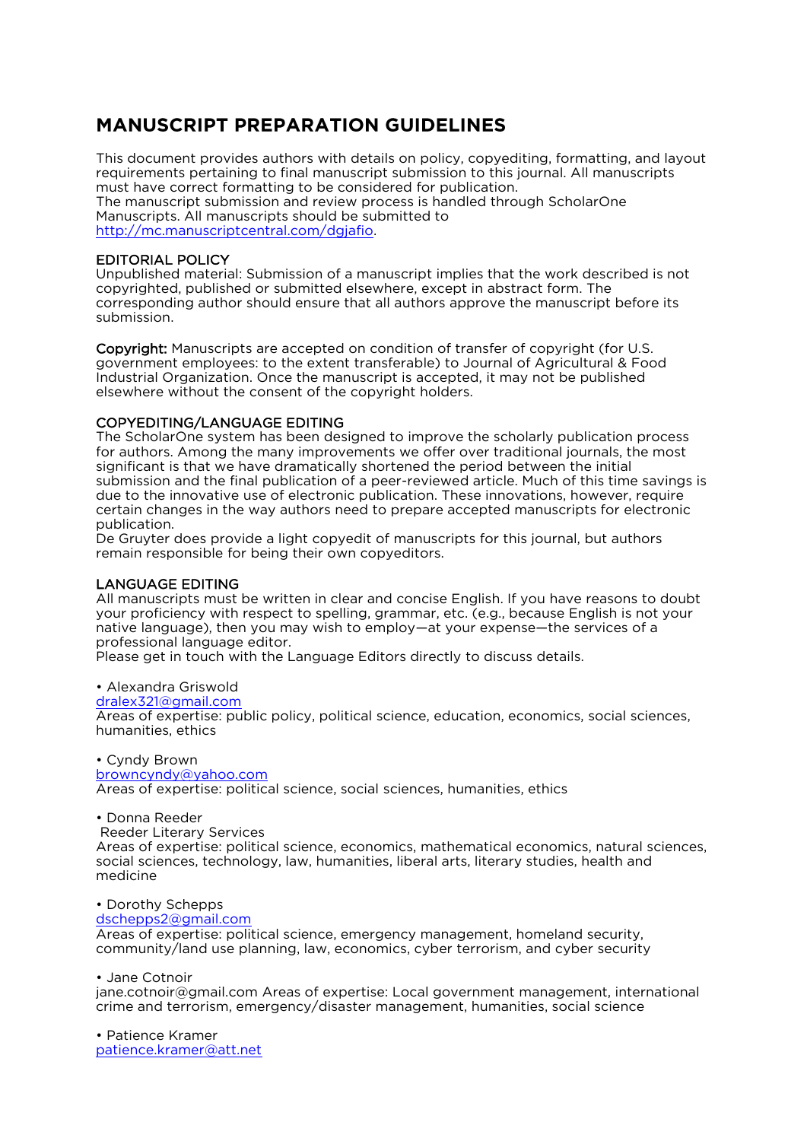## **MANUSCRIPT PREPARATION GUIDELINES**

This document provides authors with details on policy, copyediting, formatting, and layout requirements pertaining to final manuscript submission to this journal. All manuscripts must have correct formatting to be considered for publication. The manuscript submission and review process is handled through ScholarOne Manuscripts. All manuscripts should be submitted to [http://mc.manuscriptcentral.com/dgjafio.](http://mc.manuscriptcentral.com/dgjafio)

## EDITORIAL POLICY

Unpublished material: Submission of a manuscript implies that the work described is not copyrighted, published or submitted elsewhere, except in abstract form. The corresponding author should ensure that all authors approve the manuscript before its submission.

Copyright: Manuscripts are accepted on condition of transfer of copyright (for U.S. government employees: to the extent transferable) to Journal of Agricultural & Food Industrial Organization. Once the manuscript is accepted, it may not be published elsewhere without the consent of the copyright holders.

## COPYEDITING/LANGUAGE EDITING

The ScholarOne system has been designed to improve the scholarly publication process for authors. Among the many improvements we offer over traditional journals, the most significant is that we have dramatically shortened the period between the initial submission and the final publication of a peer-reviewed article. Much of this time savings is due to the innovative use of electronic publication. These innovations, however, require certain changes in the way authors need to prepare accepted manuscripts for electronic publication.

De Gruyter does provide a light copyedit of manuscripts for this journal, but authors remain responsible for being their own copyeditors.

## LANGUAGE EDITING

All manuscripts must be written in clear and concise English. If you have reasons to doubt your proficiency with respect to spelling, grammar, etc. (e.g., because English is not your native language), then you may wish to employ—at your expense—the services of a professional language editor.

Please get in touch with the Language Editors directly to discuss details.

## • Alexandra Griswold

[dralex321@gmail.com](mailto:dralex321@gmail.com)

Areas of expertise: public policy, political science, education, economics, social sciences, humanities, ethics

#### • Cyndy Brown [browncyndy@yahoo.com](mailto:browncyndy@yahoo.com) Areas of expertise: political science, social sciences, humanities, ethics

• Donna Reeder

Reeder Literary Services

Areas of expertise: political science, economics, mathematical economics, natural sciences, social sciences, technology, law, humanities, liberal arts, literary studies, health and medicine

• Dorothy Schepps

#### [dschepps2@gmail.com](mailto:dschepps2@gmail.com)

Areas of expertise: political science, emergency management, homeland security, community/land use planning, law, economics, cyber terrorism, and cyber security

• Jane Cotnoir

jane.cotnoir@gmail.com Areas of expertise: Local government management, international crime and terrorism, emergency/disaster management, humanities, social science

• Patience Kramer [patience.kramer@att.net](mailto:patience.kramer@att.net)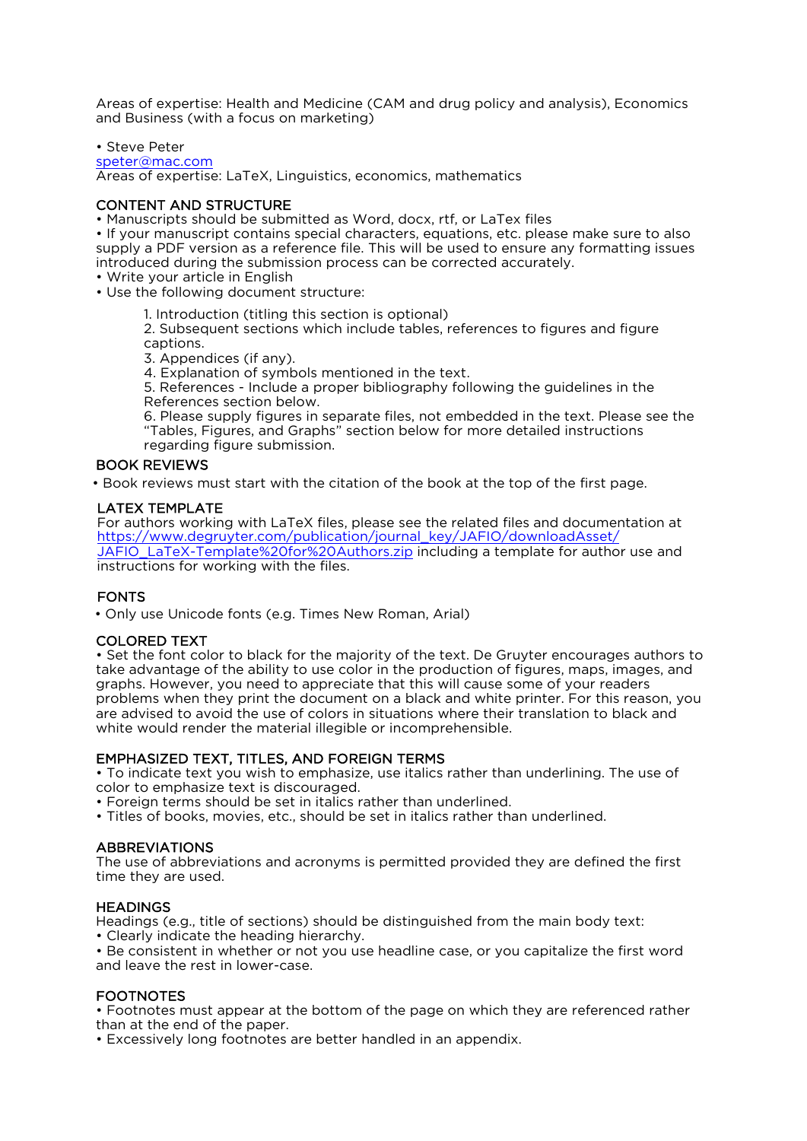Areas of expertise: Health and Medicine (CAM and drug policy and analysis), Economics and Business (with a focus on marketing)

• Steve Peter [speter@mac.com](mailto:speter@mac.com) Areas of expertise: LaTeX, Linguistics, economics, mathematics

## CONTENT AND STRUCTURE

• Manuscripts should be submitted as Word, docx, rtf, or LaTex files

• If your manuscript contains special characters, equations, etc. please make sure to also supply a PDF version as a reference file. This will be used to ensure any formatting issues introduced during the submission process can be corrected accurately.

• Write your article in English

• Use the following document structure:

1. Introduction (titling this section is optional)

2. Subsequent sections which include tables, references to figures and figure captions.

3. Appendices (if any).

4. Explanation of symbols mentioned in the text.

5. References - Include a proper bibliography following the guidelines in the References section below.

6. Please supply figures in separate files, not embedded in the text. Please see the "Tables, Figures, and Graphs" section below for more detailed instructions regarding figure submission.

## BOOK REVIEWS

• Book reviews must start with the citation of the book at the top of the first page.

## LATEX TEMPLATE

For authors working with LaTeX files, please see the related files and documentation at https://www.degruyter.com/publication/journal\_key/JAFIO/downloadAsset/ [JAFIO\\_LaTeX-Template%20for%20Authors.zip](https://www.degruyter.com/fileasset/craft/media/doc/authors/DG_LaTeX-Template.zip) including a template for author use and instructions for working with the files.

## **FONTS**

• Only use Unicode fonts (e.g. Times New Roman, Arial)

## COLORED TEXT

• Set the font color to black for the majority of the text. De Gruyter encourages authors to take advantage of the ability to use color in the production of figures, maps, images, and graphs. However, you need to appreciate that this will cause some of your readers problems when they print the document on a black and white printer. For this reason, you are advised to avoid the use of colors in situations where their translation to black and white would render the material illegible or incomprehensible.

## EMPHASIZED TEXT, TITLES, AND FOREIGN TERMS

• To indicate text you wish to emphasize, use italics rather than underlining. The use of color to emphasize text is discouraged.

• Foreign terms should be set in italics rather than underlined.

• Titles of books, movies, etc., should be set in italics rather than underlined.

## ABBREVIATIONS

The use of abbreviations and acronyms is permitted provided they are defined the first time they are used.

## **HEADINGS**

Headings (e.g., title of sections) should be distinguished from the main body text:

• Clearly indicate the heading hierarchy.

• Be consistent in whether or not you use headline case, or you capitalize the first word and leave the rest in lower-case.

## FOOTNOTES

• Footnotes must appear at the bottom of the page on which they are referenced rather than at the end of the paper.

• Excessively long footnotes are better handled in an appendix.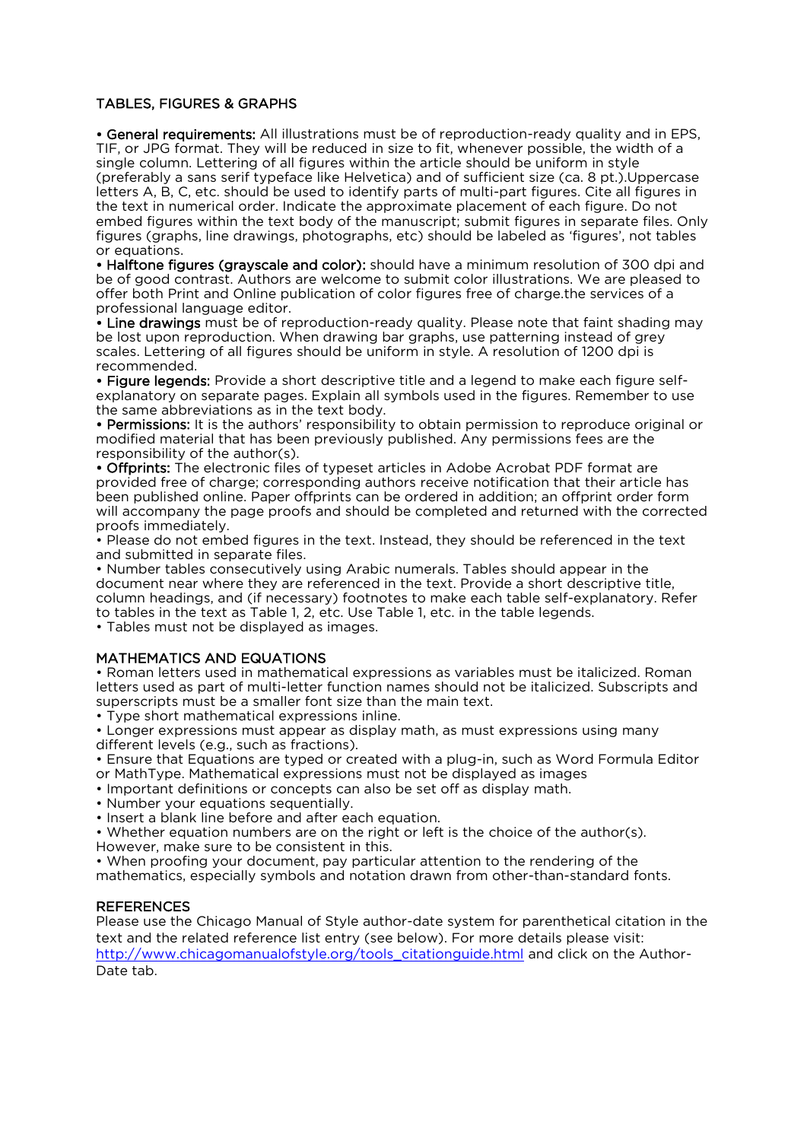## TABLES, FIGURES & GRAPHS

• General requirements: All illustrations must be of reproduction-ready quality and in EPS, TIF, or JPG format. They will be reduced in size to fit, whenever possible, the width of a single column. Lettering of all figures within the article should be uniform in style (preferably a sans serif typeface like Helvetica) and of sufficient size (ca. 8 pt.).Uppercase letters A, B, C, etc. should be used to identify parts of multi-part figures. Cite all figures in the text in numerical order. Indicate the approximate placement of each figure. Do not embed figures within the text body of the manuscript; submit figures in separate files. Only figures (graphs, line drawings, photographs, etc) should be labeled as 'figures', not tables or equations.

• Halftone figures (grayscale and color): should have a minimum resolution of 300 dpi and be of good contrast. Authors are welcome to submit color illustrations. We are pleased to offer both Print and Online publication of color figures free of charge.the services of a professional language editor.

• Line drawings must be of reproduction-ready quality. Please note that faint shading may be lost upon reproduction. When drawing bar graphs, use patterning instead of grey scales. Lettering of all figures should be uniform in style. A resolution of 1200 dpi is recommended.

• Figure legends: Provide a short descriptive title and a legend to make each figure selfexplanatory on separate pages. Explain all symbols used in the figures. Remember to use the same abbreviations as in the text body.

• Permissions: It is the authors' responsibility to obtain permission to reproduce original or modified material that has been previously published. Any permissions fees are the responsibility of the author(s).

• Offprints: The electronic files of typeset articles in Adobe Acrobat PDF format are provided free of charge; corresponding authors receive notification that their article has been published online. Paper offprints can be ordered in addition; an offprint order form will accompany the page proofs and should be completed and returned with the corrected proofs immediately.

• Please do not embed figures in the text. Instead, they should be referenced in the text and submitted in separate files.

• Number tables consecutively using Arabic numerals. Tables should appear in the document near where they are referenced in the text. Provide a short descriptive title, column headings, and (if necessary) footnotes to make each table self-explanatory. Refer to tables in the text as Table 1, 2, etc. Use Table 1, etc. in the table legends.

• Tables must not be displayed as images.

## MATHEMATICS AND EQUATIONS

• Roman letters used in mathematical expressions as variables must be italicized. Roman letters used as part of multi-letter function names should not be italicized. Subscripts and superscripts must be a smaller font size than the main text.

• Type short mathematical expressions inline.

• Longer expressions must appear as display math, as must expressions using many different levels (e.g., such as fractions).

• Ensure that Equations are typed or created with a plug-in, such as Word Formula Editor or MathType. Mathematical expressions must not be displayed as images

- Important definitions or concepts can also be set off as display math.
- Number your equations sequentially.
- Insert a blank line before and after each equation.

• Whether equation numbers are on the right or left is the choice of the author(s). However, make sure to be consistent in this.

• When proofing your document, pay particular attention to the rendering of the mathematics, especially symbols and notation drawn from other-than-standard fonts.

#### **REFERENCES**

Please use the Chicago Manual of Style author-date system for parenthetical citation in the text and the related reference list entry (see below). For more details please visit: [http://www.chicagomanualofstyle.org/tools\\_citationguide.html](http://www.chicagomanualofstyle.org/tools_citationguide.html) and click on the Author-Date tab.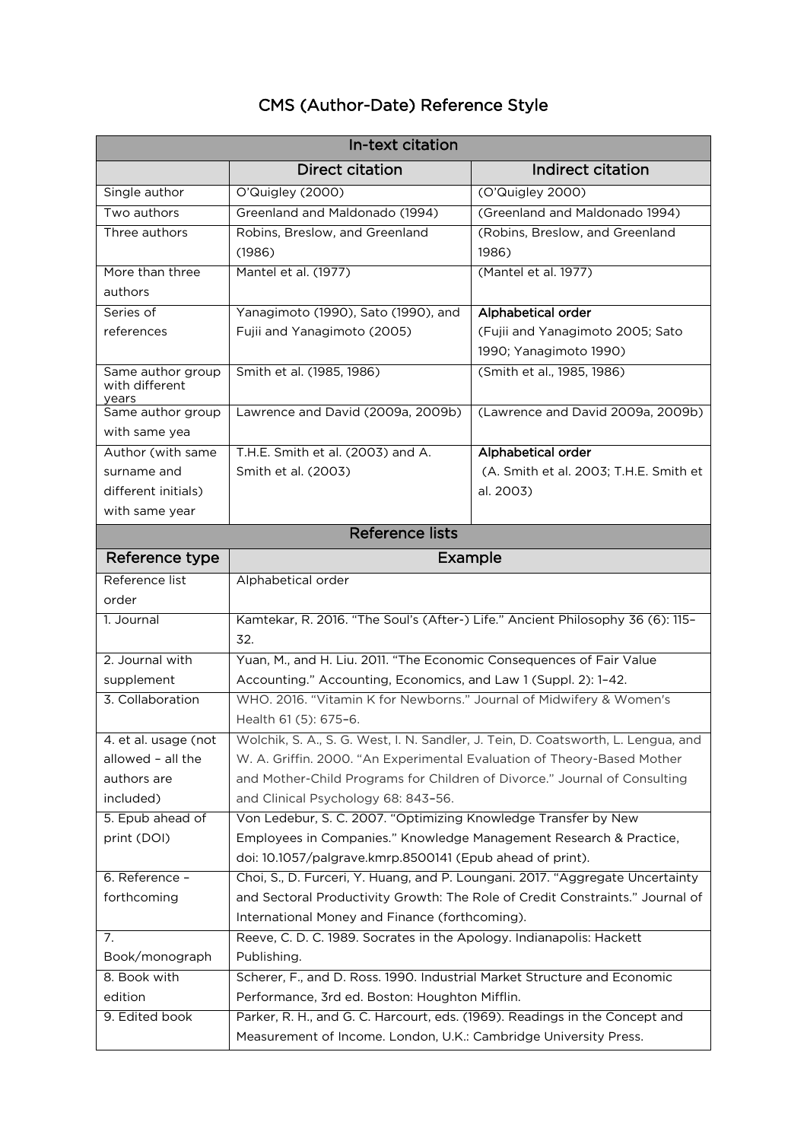# CMS (Author-Date) Reference Style

| In-text citation                             |                                                                                              |                                        |  |
|----------------------------------------------|----------------------------------------------------------------------------------------------|----------------------------------------|--|
|                                              | <b>Direct citation</b>                                                                       | Indirect citation                      |  |
| Single author                                | O'Quigley (2000)                                                                             | (O'Quigley 2000)                       |  |
| Two authors                                  | Greenland and Maldonado (1994)                                                               | (Greenland and Maldonado 1994)         |  |
| Three authors                                | Robins, Breslow, and Greenland                                                               | (Robins, Breslow, and Greenland        |  |
|                                              | (1986)                                                                                       | 1986)                                  |  |
| More than three                              | Mantel et al. (1977)                                                                         | (Mantel et al. 1977)                   |  |
| authors                                      |                                                                                              |                                        |  |
| Series of                                    | Yanagimoto (1990), Sato (1990), and                                                          | Alphabetical order                     |  |
| references                                   | Fujii and Yanagimoto (2005)                                                                  | (Fujii and Yanagimoto 2005; Sato       |  |
|                                              |                                                                                              | 1990; Yanagimoto 1990)                 |  |
| Same author group<br>with different<br>years | Smith et al. (1985, 1986)                                                                    | (Smith et al., 1985, 1986)             |  |
| Same author group                            | Lawrence and David (2009a, 2009b)                                                            | (Lawrence and David 2009a, 2009b)      |  |
| with same yea                                |                                                                                              |                                        |  |
| Author (with same                            | T.H.E. Smith et al. (2003) and A.                                                            | Alphabetical order                     |  |
| surname and                                  | Smith et al. (2003)                                                                          | (A. Smith et al. 2003; T.H.E. Smith et |  |
| different initials)                          |                                                                                              | al. 2003)                              |  |
| with same year                               |                                                                                              |                                        |  |
| <b>Reference lists</b>                       |                                                                                              |                                        |  |
| Reference type                               | Example                                                                                      |                                        |  |
| Reference list                               | Alphabetical order                                                                           |                                        |  |
| order                                        |                                                                                              |                                        |  |
| 1. Journal                                   | Kamtekar, R. 2016. "The Soul's (After-) Life." Ancient Philosophy 36 (6): 115-               |                                        |  |
|                                              | 32.                                                                                          |                                        |  |
| 2. Journal with                              | Yuan, M., and H. Liu. 2011. "The Economic Consequences of Fair Value                         |                                        |  |
| supplement                                   | Accounting." Accounting, Economics, and Law 1 (Suppl. 2): 1-42.                              |                                        |  |
| 3. Collaboration                             | WHO. 2016. "Vitamin K for Newborns." Journal of Midwifery & Women's<br>Health 61 (5): 675-6. |                                        |  |
| 4. et al. usage (not                         | Wolchik, S. A., S. G. West, I. N. Sandler, J. Tein, D. Coatsworth, L.<br>Lengua, and         |                                        |  |
| allowed - all the                            | W. A. Griffin. 2000. "An Experimental Evaluation of Theory-Based Mother                      |                                        |  |
| authors are                                  | and Mother-Child Programs for Children of Divorce." Journal of Consulting                    |                                        |  |
| included)                                    | and Clinical Psychology 68: 843-56.                                                          |                                        |  |
| 5. Epub ahead of                             | Von Ledebur, S. C. 2007. "Optimizing Knowledge Transfer by New                               |                                        |  |
| print (DOI)                                  | Employees in Companies." Knowledge Management Research & Practice,                           |                                        |  |
|                                              | doi: 10.1057/palgrave.kmrp.8500141 (Epub ahead of print).                                    |                                        |  |
| 6. Reference -                               | Choi, S., D. Furceri, Y. Huang, and P. Loungani. 2017. "Aggregate Uncertainty                |                                        |  |
| forthcoming                                  | and Sectoral Productivity Growth: The Role of Credit Constraints." Journal of                |                                        |  |
|                                              | International Money and Finance (forthcoming).                                               |                                        |  |
| 7.                                           | Reeve, C. D. C. 1989. Socrates in the Apology. Indianapolis: Hackett                         |                                        |  |
| Book/monograph                               | Publishing.                                                                                  |                                        |  |
| 8. Book with                                 | Scherer, F., and D. Ross. 1990. Industrial Market Structure and Economic                     |                                        |  |
| edition                                      | Performance, 3rd ed. Boston: Houghton Mifflin.                                               |                                        |  |
| 9. Edited book                               | Parker, R. H., and G. C. Harcourt, eds. (1969). Readings in the Concept and                  |                                        |  |
|                                              | Measurement of Income. London, U.K.: Cambridge University Press.                             |                                        |  |